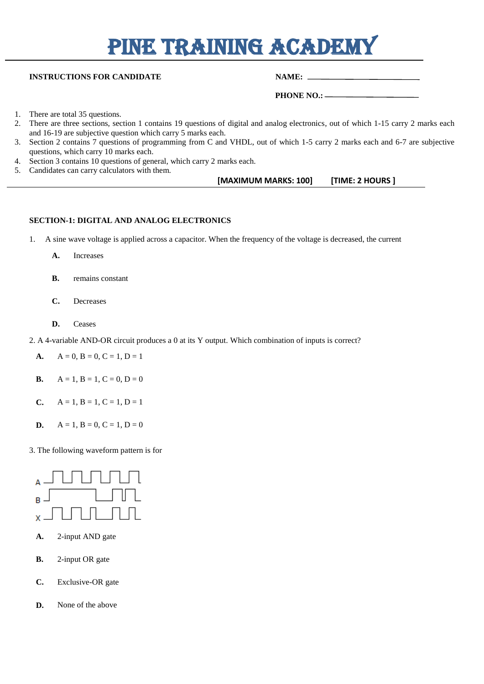# PINE TRAINING ACADEMY

#### **INSTRUCTIONS FOR CANDIDATE NAME:** NAME:

 **PHONE NO.:** 

- 1. There are total 35 questions.
- 2. There are three sections, section 1 contains 19 questions of digital and analog electronics, out of which 1-15 carry 2 marks each and 16-19 are subjective question which carry 5 marks each.
- 3. Section 2 contains 7 questions of programming from C and VHDL, out of which 1-5 carry 2 marks each and 6-7 are subjective questions, which carry 10 marks each.
- 4. Section 3 contains 10 questions of general, which carry 2 marks each.
- 5. Candidates can carry calculators with them.

| [MAXIMUM MARKS: 100]<br>[TIME: 2 HOURS ] |  |
|------------------------------------------|--|
|------------------------------------------|--|

#### **SECTION-1: DIGITAL AND ANALOG ELECTRONICS**

- 1. A sine wave voltage is applied across a capacitor. When the frequency of the voltage is decreased, the current
	- **[A.](javascript:%20void%200;)** Increases
	- **[B.](javascript:%20void%200;)** remains constant
	- **[C.](javascript:%20void%200;)** Decreases
	- **[D.](javascript:%20void%200;)** Ceases
- 2. A 4-variable AND-OR circuit produces a 0 at its Y output. Which combination of inputs is correct?
	- **[A.](javascript:%20void%200;)**  $A = 0, B = 0, C = 1, D = 1$
	- **[B.](javascript:%20void%200;)**  $A = 1, B = 1, C = 0, D = 0$
	- **[C.](javascript:%20void%200;)**  $A = 1, B = 1, C = 1, D = 1$
	- **[D.](javascript:%20void%200;)**  $A = 1$ ,  $B = 0$ ,  $C = 1$ ,  $D = 0$

3. The following waveform pattern is for



- **[A.](javascript:%20void%200;)** 2-input AND gate
- **[B.](javascript:%20void%200;)** 2-input OR gate
- **[C.](javascript:%20void%200;)** Exclusive-OR gate
- **[D.](javascript:%20void%200;)** None of the above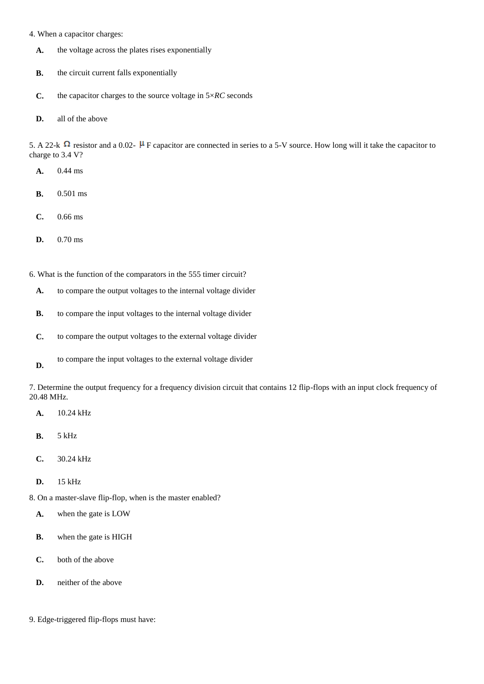- 4. When a capacitor charges:
	- **[A.](javascript:%20void%200;)** the voltage across the plates rises exponentially
	- **[B.](javascript:%20void%200;)** the circuit current falls exponentially
	- **[C.](javascript:%20void%200;)** the capacitor charges to the source voltage in 5×*RC* seconds
	- **[D.](javascript:%20void%200;)** all of the above

5. A 22-k  $\Omega$  resistor and a 0.02-  $\mu$  F capacitor are connected in series to a 5-V source. How long will it take the capacitor to charge to 3.4 V?

- **[A.](javascript:%20void%200;)** 0.44 ms
- **[B.](javascript:%20void%200;)** 0.501 ms
- **[C.](javascript:%20void%200;)** 0.66 ms
- **[D.](javascript:%20void%200;)** 0.70 ms
- 6. What is the function of the comparators in the 555 timer circuit?
	- **[A.](javascript:%20void%200;)** to compare the output voltages to the internal voltage divider
	- **[B.](javascript:%20void%200;)** to compare the input voltages to the internal voltage divider
	- **[C.](javascript:%20void%200;)** to compare the output voltages to the external voltage divider
	- **[D.](javascript:%20void%200;)** to compare the input voltages to the external voltage divider

7. Determine the output frequency for a frequency division circuit that contains 12 flip-flops with an input clock frequency of 20.48 MHz.

- **[A.](javascript:%20void%200;)** 10.24 kHz
- **[B.](javascript:%20void%200;)** 5 kHz
- **[C.](javascript:%20void%200;)** 30.24 kHz
- **[D.](javascript:%20void%200;)** 15 kHz

8. On a master-slave flip-flop, when is the master enabled?

- **[A.](javascript:%20void%200;)** when the gate is LOW
- **[B.](javascript:%20void%200;)** when the gate is HIGH
- **[C.](javascript:%20void%200;)** both of the above
- **[D.](javascript:%20void%200;)** neither of the above
- 9. Edge-triggered flip-flops must have: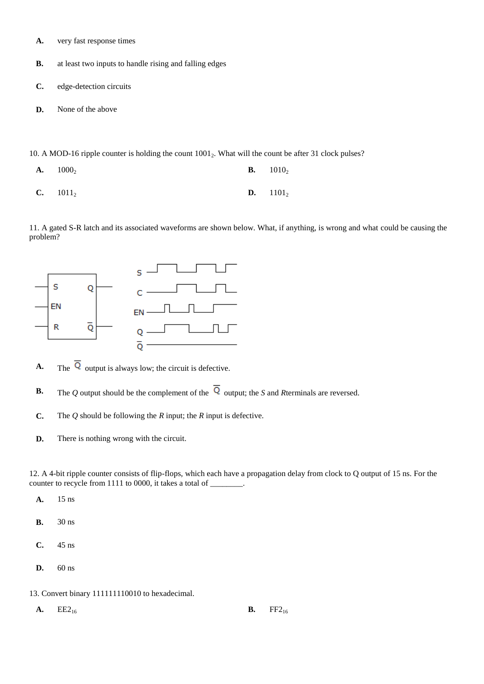- **[A.](javascript:%20void%200;)** very fast response times
- **[B.](javascript:%20void%200;)** at least two inputs to handle rising and falling edges
- **[C.](javascript:%20void%200;)** edge-detection circuits
- **[D.](javascript:%20void%200;)** None of the above

10. A MOD-16 ripple counter is holding the count  $1001<sub>2</sub>$ . What will the count be after 31 clock pulses?

**[A.](javascript:%20void%200;)**  $1000_2$  **[B.](javascript:%20void%200;)**  $1010_2$ **[C.](javascript:%20void%200;)**  $1011_2$  **[D.](javascript:%20void%200;)**  $1101_2$ 

11. A gated S-R latch and its associated waveforms are shown below. What, if anything, is wrong and what could be causing the problem?



**A.** The  $\overline{Q}$  output is always low; the circuit is defective.

- **B.** The *Q* output should be the complement of the  $\overline{Q}$  output; the *S* and *Rterminals are reversed.*
- **C.** The *Q* should be following the *R* input; the *R* input is defective.
- **D.** There is nothing wrong with the circuit.

12. A 4-bit ripple counter consists of flip-flops, which each have a propagation delay from clock to Q output of 15 ns. For the counter to recycle from 1111 to 0000, it takes a total of \_\_\_\_\_\_\_\_.

- **[A.](javascript:%20void%200;)** 15 ns
- **[B.](javascript:%20void%200;)** 30 ns
- **[C.](javascript:%20void%200;)** 45 ns
- **[D.](javascript:%20void%200;)** 60 ns

13. Convert binary 111111110010 to hexadecimal.

**[A.](javascript:%20void%200;)**  $EE2_{16}$  **[B.](javascript:%20void%200;)**  $FF2_{16}$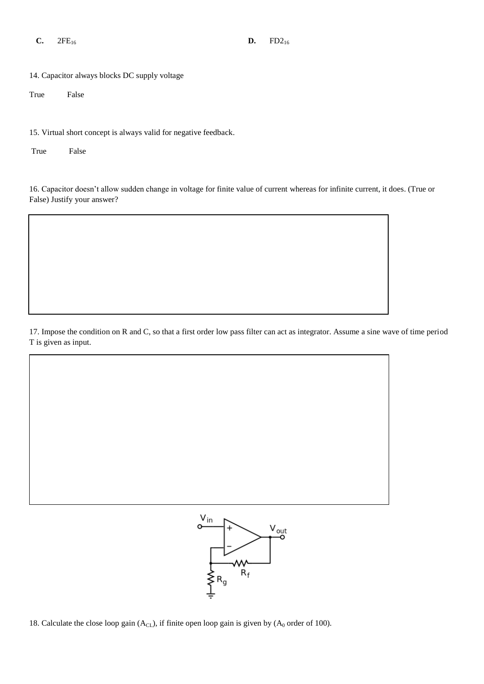- **[C.](javascript:%20void%200;)**  $2FE_{16}$  **[D.](javascript:%20void%200;)**  $FD2_{16}$
- 

14. Capacitor always blocks DC supply voltage

True False

15. Virtual short concept is always valid for negative feedback.

True False

16. Capacitor doesn't allow sudden change in voltage for finite value of current whereas for infinite current, it does. (True or False) Justify your answer?

17. Impose the condition on R and C, so that a first order low pass filter can act as integrator. Assume a sine wave of time period T is given as input.



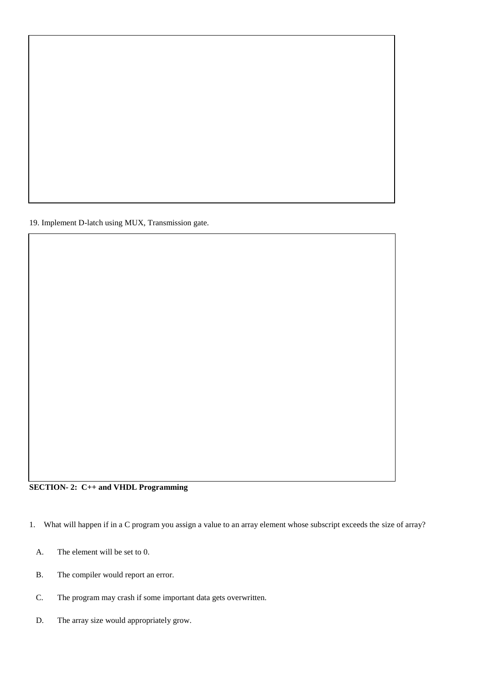19. Implement D-latch using MUX, Transmission gate.

### **SECTION- 2: C++ and VHDL Programming**

1. What will happen if in a C program you assign a value to an array element whose subscript exceeds the size of array?

- [A.](javascript:%20void%200;) The element will be set to 0.
- [B.](javascript:%20void%200;) The compiler would report an error.
- [C.](javascript:%20void%200;) The program may crash if some important data gets overwritten.
- [D.](javascript:%20void%200;) The array size would appropriately grow.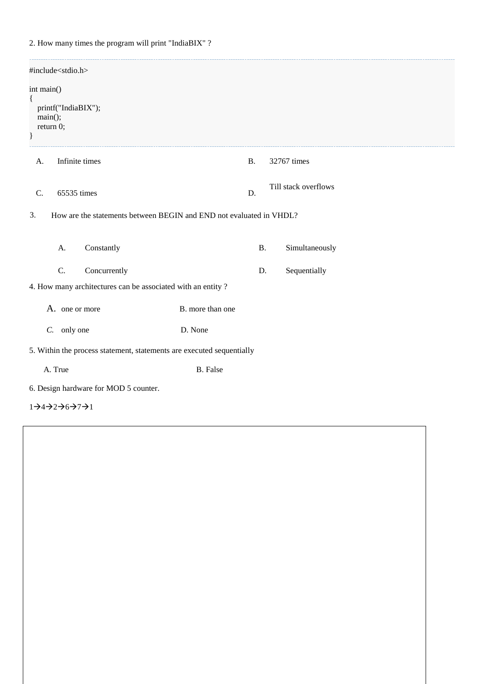2. How many times the program will print "IndiaBIX" ?

| #include <stdio.h></stdio.h>                                                    |                  |  |                      |  |  |
|---------------------------------------------------------------------------------|------------------|--|----------------------|--|--|
| int main()<br>$\{$<br>printf("IndiaBIX");<br>$main$ $()$ ;<br>return 0;<br>$\}$ |                  |  |                      |  |  |
| Infinite times<br>A.                                                            | <b>B.</b>        |  | 32767 times          |  |  |
| C.<br>65535 times                                                               | D.               |  | Till stack overflows |  |  |
| How are the statements between BEGIN and END not evaluated in VHDL?<br>3.       |                  |  |                      |  |  |
| Constantly<br>A.                                                                | <b>B.</b>        |  | Simultaneously       |  |  |
| C.<br>Concurrently                                                              | D.               |  | Sequentially         |  |  |
| 4. How many architectures can be associated with an entity?                     |                  |  |                      |  |  |
| A. one or more                                                                  | B. more than one |  |                      |  |  |
| only one<br>$C$ .                                                               | D. None          |  |                      |  |  |
| 5. Within the process statement, statements are executed sequentially           |                  |  |                      |  |  |
| A. True                                                                         | <b>B.</b> False  |  |                      |  |  |
| 6. Design hardware for MOD 5 counter.                                           |                  |  |                      |  |  |

 $1\rightarrow 4\rightarrow 2\rightarrow 6\rightarrow 7\rightarrow 1$ 

 $\overline{a}$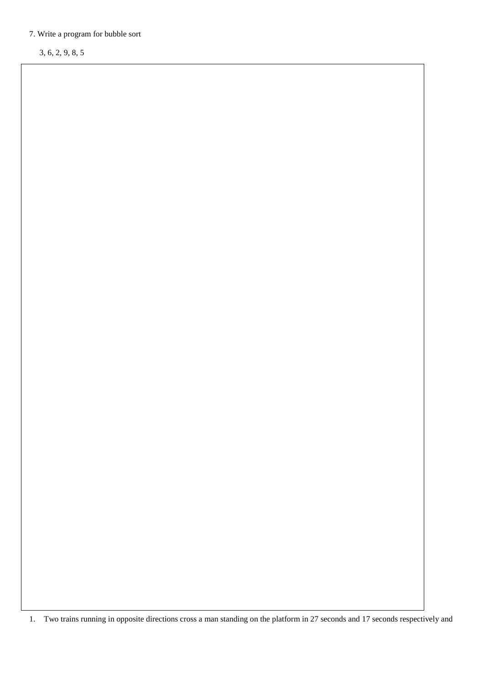## 7. Write a program for bubble sort

3, 6, 2, 9, 8, 5

1. Two trains running in opposite directions cross a man standing on the platform in 27 seconds and 17 seconds respectively and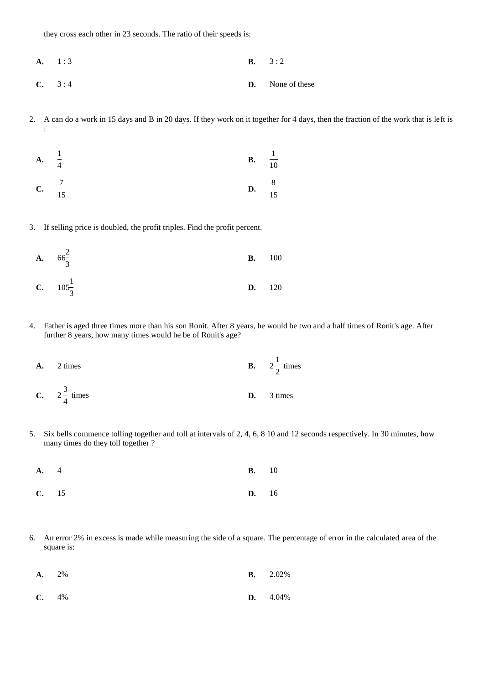they cross each other in 23 seconds. The ratio of their speeds is:

- **[A.](javascript:%20void%200;)** 1 : 3 **[B.](javascript:%20void%200;)** 3 : 2
- **[C.](javascript:%20void%200;)** 3 : 4 **[D.](javascript:%20void%200;)** None of these
- 2. A can do a work in 15 days and B in 20 days. If they work on it together for 4 days, then the fraction of the work that is left is :

**A.** 
$$
\frac{1}{4}
$$
   
**B.**  $\frac{1}{10}$    
**C.**  $\frac{7}{15}$    
**D.**  $\frac{8}{15}$ 

3. If selling price is doubled, the profit triples. Find the profit percent.

**A.** 
$$
66\frac{2}{3}
$$
   
**B.** 100   
**C.**  $105\frac{1}{3}$    
**D.** 120

4. Father is aged three times more than his son Ronit. After 8 years, he would be two and a half times of Ronit's age. After further 8 years, how many times would he be of Ronit's age?

**A.** 2 times  
\n**B.** 
$$
2\frac{1}{2}
$$
 times  
\n**C.**  $2\frac{3}{4}$  times  
\n**D.** 3 times

5. Six bells commence tolling together and toll at intervals of 2, 4, 6, 8 10 and 12 seconds respectively. In 30 minutes, how many times do they toll together ?

| <b>A.</b> 4 | $\mathbf{B.}$ 10 |  |
|-------------|------------------|--|
| $C.$ 15     | $D.$ 16          |  |

6. An error 2% in excess is made while measuring the side of a square. The percentage of error in the calculated area of the square is:

| $A. 2\%$ |  |  | <b>B.</b> $2.02\%$ |
|----------|--|--|--------------------|
|          |  |  |                    |

**[C.](javascript:%20void%200;)** 4% **[D.](javascript:%20void%200;)** 4.04%